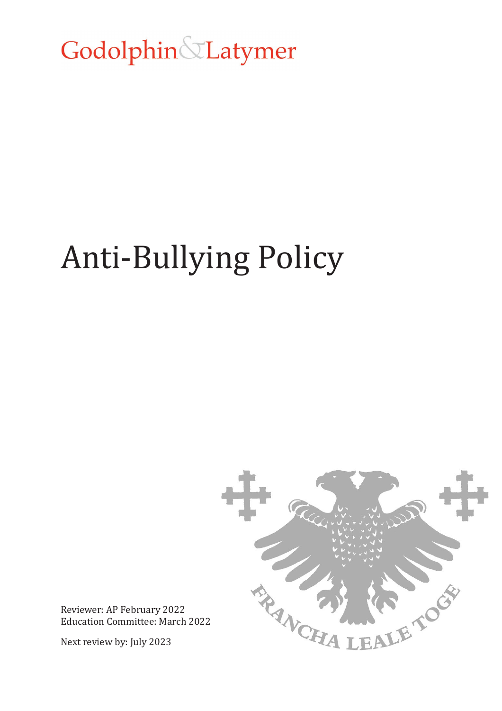Godolphin&Latymer

# Anti-Bullying Policy



Reviewer: AP February 2022 Education Committee: March 2022

Next review by: July 2023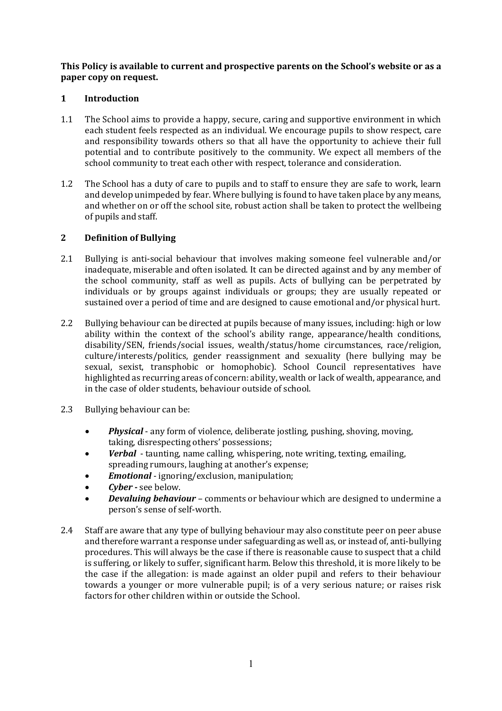**This Policy is available to current and prospective parents on the School's website or as a paper copy on request.**

## **1 Introduction**

- 1.1 The School aims to provide a happy, secure, caring and supportive environment in which each student feels respected as an individual. We encourage pupils to show respect, care and responsibility towards others so that all have the opportunity to achieve their full potential and to contribute positively to the community. We expect all members of the school community to treat each other with respect, tolerance and consideration.
- 1.2 The School has a duty of care to pupils and to staff to ensure they are safe to work, learn and develop unimpeded by fear. Where bullying is found to have taken place by any means, and whether on or off the school site, robust action shall be taken to protect the wellbeing of pupils and staff.

## **2 Definition of Bullying**

- 2.1 Bullying is anti-social behaviour that involves making someone feel vulnerable and/or inadequate, miserable and often isolated. It can be directed against and by any member of the school community, staff as well as pupils. Acts of bullying can be perpetrated by individuals or by groups against individuals or groups; they are usually repeated or sustained over a period of time and are designed to cause emotional and/or physical hurt.
- 2.2 Bullying behaviour can be directed at pupils because of many issues, including: high or low ability within the context of the school's ability range, appearance/health conditions, disability/SEN, friends/social issues, wealth/status/home circumstances, race/religion, culture/interests/politics, gender reassignment and sexuality (here bullying may be sexual, sexist, transphobic or homophobic). School Council representatives have highlighted as recurring areas of concern: ability, wealth or lack of wealth, appearance, and in the case of older students, behaviour outside of school.
- 2.3 Bullying behaviour can be:
	- *Physical* any form of violence, deliberate jostling, pushing, shoving, moving, taking, disrespecting others' possessions;
	- *Verbal* taunting, name calling, whispering, note writing, texting, emailing, spreading rumours, laughing at another's expense;
	- *Emotional* ignoring/exclusion, manipulation;
	- *Cyber* **-** see below.
	- *Devaluing behaviour* comments or behaviour which are designed to undermine a person's sense of self-worth.
- 2.4 Staff are aware that any type of bullying behaviour may also constitute peer on peer abuse and therefore warrant a response under safeguarding as well as, or instead of, anti-bullying procedures. This will always be the case if there is reasonable cause to suspect that a child is suffering, or likely to suffer, significant harm. Below this threshold, it is more likely to be the case if the allegation: is made against an older pupil and refers to their behaviour towards a younger or more vulnerable pupil; is of a very serious nature; or raises risk factors for other children within or outside the School.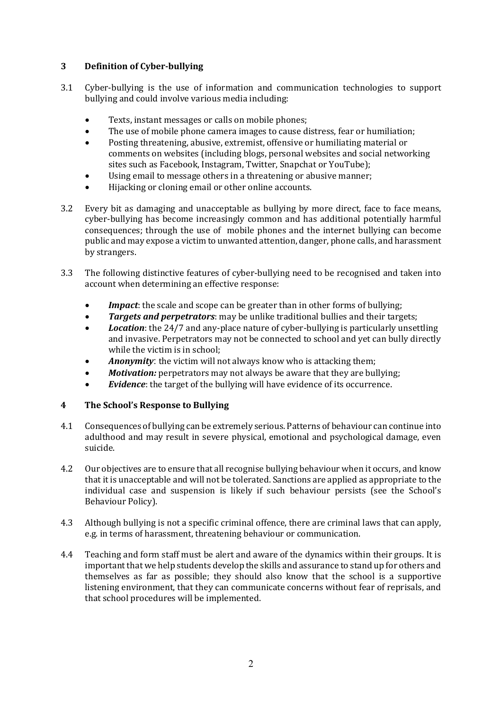# **3 Definition of Cyber-bullying**

- 3.1 Cyber-bullying is the use of information and communication technologies to support bullying and could involve various media including:
	- Texts, instant messages or calls on mobile phones;
	- The use of mobile phone camera images to cause distress, fear or humiliation;
	- Posting threatening, abusive, extremist, offensive or humiliating material or comments on websites (including blogs, personal websites and social networking sites such as Facebook, Instagram, Twitter, Snapchat or YouTube);
	- Using email to message others in a threatening or abusive manner;
	- Hijacking or cloning email or other online accounts.
- 3.2 Every bit as damaging and unacceptable as bullying by more direct, face to face means, cyber-bullying has become increasingly common and has additional potentially harmful consequences; through the use of mobile phones and the internet bullying can become public and may expose a victim to unwanted attention, danger, phone calls, and harassment by strangers.
- 3.3 The following distinctive features of cyber-bullying need to be recognised and taken into account when determining an effective response:
	- *Impact*: the scale and scope can be greater than in other forms of bullying;<br>• *Targets and perpetrators*: may be unlike traditional bullies and their targe
	- *Targets and perpetrators*: may be unlike traditional bullies and their targets;
	- *Location*: the 24/7 and any-place nature of cyber-bullying is particularly unsettling and invasive. Perpetrators may not be connected to school and yet can bully directly while the victim is in school;
	- *Anonymity*: the victim will not always know who is attacking them;
	- *Motivation:* perpetrators may not always be aware that they are bullying;
	- **Evidence**: the target of the bullying will have evidence of its occurrence.

## **4 The School's Response to Bullying**

- 4.1 Consequences of bullying can be extremely serious. Patterns of behaviour can continue into adulthood and may result in severe physical, emotional and psychological damage, even suicide.
- 4.2 Our objectives are to ensure that all recognise bullying behaviour when it occurs, and know that it is unacceptable and will not be tolerated. Sanctions are applied as appropriate to the individual case and suspension is likely if such behaviour persists (see the School's Behaviour Policy).
- 4.3 Although bullying is not a specific criminal offence, there are criminal laws that can apply, e.g. in terms of harassment, threatening behaviour or communication.
- 4.4 Teaching and form staff must be alert and aware of the dynamics within their groups. It is important that we help students develop the skills and assurance to stand up for others and themselves as far as possible; they should also know that the school is a supportive listening environment, that they can communicate concerns without fear of reprisals, and that school procedures will be implemented.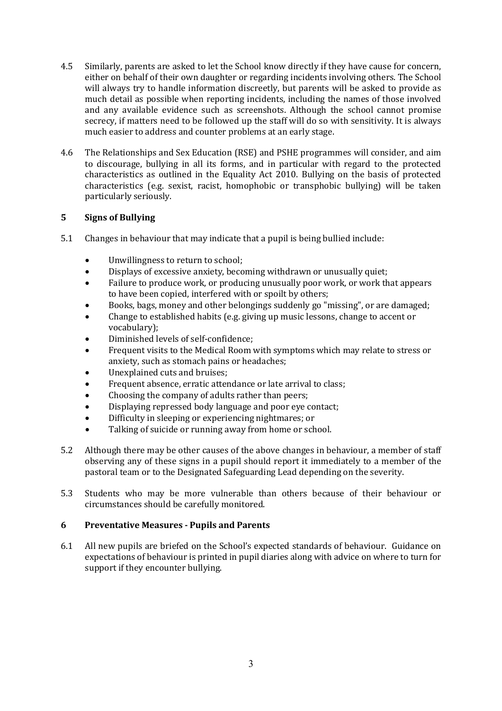- 4.5 Similarly, parents are asked to let the School know directly if they have cause for concern, either on behalf of their own daughter or regarding incidents involving others. The School will always try to handle information discreetly, but parents will be asked to provide as much detail as possible when reporting incidents, including the names of those involved and any available evidence such as screenshots. Although the school cannot promise secrecy, if matters need to be followed up the staff will do so with sensitivity. It is always much easier to address and counter problems at an early stage.
- 4.6 The Relationships and Sex Education (RSE) and PSHE programmes will consider, and aim to discourage, bullying in all its forms, and in particular with regard to the protected characteristics as outlined in the Equality Act 2010. Bullying on the basis of protected characteristics (e.g. sexist, racist, homophobic or transphobic bullying) will be taken particularly seriously.

# **5 Signs of Bullying**

- 5.1 Changes in behaviour that may indicate that a pupil is being bullied include:
	- Unwillingness to return to school;<br>• Displays of excessive anxiety, beco
	- Displays of excessive anxiety, becoming withdrawn or unusually quiet;
	- Failure to produce work, or producing unusually poor work, or work that appears to have been copied, interfered with or spoilt by others;
	- Books, bags, money and other belongings suddenly go "missing", or are damaged;
	- Change to established habits (e.g. giving up music lessons, change to accent or vocabulary);
	- Diminished levels of self-confidence;
	- Frequent visits to the Medical Room with symptoms which may relate to stress or anxiety, such as stomach pains or headaches;
	- Unexplained cuts and bruises;
	- Frequent absence, erratic attendance or late arrival to class;
	- Choosing the company of adults rather than peers;
	- Displaying repressed body language and poor eye contact;
	- Difficulty in sleeping or experiencing nightmares; or
	- Talking of suicide or running away from home or school.
- 5.2 Although there may be other causes of the above changes in behaviour, a member of staff observing any of these signs in a pupil should report it immediately to a member of the pastoral team or to the Designated Safeguarding Lead depending on the severity.
- 5.3 Students who may be more vulnerable than others because of their behaviour or circumstances should be carefully monitored.

## **6 Preventative Measures - Pupils and Parents**

6.1 All new pupils are briefed on the School's expected standards of behaviour. Guidance on expectations of behaviour is printed in pupil diaries along with advice on where to turn for support if they encounter bullying.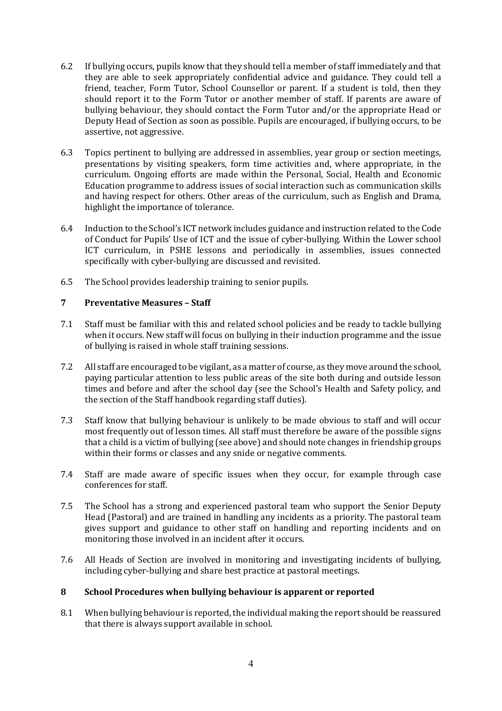- 6.2 If bullying occurs, pupils know that they should tell a member of staff immediately and that they are able to seek appropriately confidential advice and guidance. They could tell a friend, teacher, Form Tutor, School Counsellor or parent. If a student is told, then they should report it to the Form Tutor or another member of staff. If parents are aware of bullying behaviour, they should contact the Form Tutor and/or the appropriate Head or Deputy Head of Section as soon as possible. Pupils are encouraged, if bullying occurs, to be assertive, not aggressive.
- 6.3 Topics pertinent to bullying are addressed in assemblies, year group or section meetings, presentations by visiting speakers, form time activities and, where appropriate, in the curriculum. Ongoing efforts are made within the Personal, Social, Health and Economic Education programme to address issues of social interaction such as communication skills and having respect for others. Other areas of the curriculum, such as English and Drama, highlight the importance of tolerance.
- 6.4 Induction to the School's ICT network includes guidance and instruction related to the Code of Conduct for Pupils' Use of ICT and the issue of cyber-bullying. Within the Lower school ICT curriculum, in PSHE lessons and periodically in assemblies, issues connected specifically with cyber-bullying are discussed and revisited.
- 6.5 The School provides leadership training to senior pupils.

## **7 Preventative Measures – Staff**

- 7.1 Staff must be familiar with this and related school policies and be ready to tackle bullying when it occurs. New staff will focus on bullying in their induction programme and the issue of bullying is raised in whole staff training sessions.
- 7.2 All staff are encouraged to be vigilant, as a matter of course, as they move around the school, paying particular attention to less public areas of the site both during and outside lesson times and before and after the school day (see the School's Health and Safety policy, and the section of the Staff handbook regarding staff duties).
- 7.3 Staff know that bullying behaviour is unlikely to be made obvious to staff and will occur most frequently out of lesson times. All staff must therefore be aware of the possible signs that a child is a victim of bullying (see above) and should note changes in friendship groups within their forms or classes and any snide or negative comments.
- 7.4 Staff are made aware of specific issues when they occur, for example through case conferences for staff.
- 7.5 The School has a strong and experienced pastoral team who support the Senior Deputy Head (Pastoral) and are trained in handling any incidents as a priority. The pastoral team gives support and guidance to other staff on handling and reporting incidents and on monitoring those involved in an incident after it occurs.
- 7.6 All Heads of Section are involved in monitoring and investigating incidents of bullying, including cyber-bullying and share best practice at pastoral meetings.

## **8 School Procedures when bullying behaviour is apparent or reported**

8.1 When bullying behaviour is reported, the individual making the report should be reassured that there is always support available in school.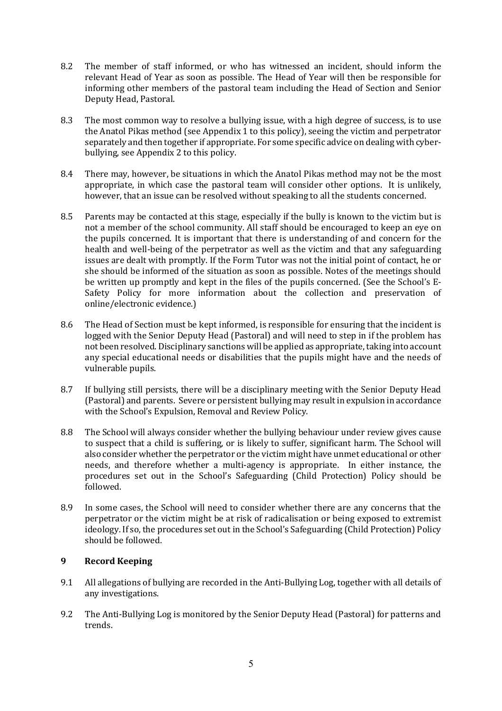- 8.2 The member of staff informed, or who has witnessed an incident, should inform the relevant Head of Year as soon as possible. The Head of Year will then be responsible for informing other members of the pastoral team including the Head of Section and Senior Deputy Head, Pastoral.
- 8.3 The most common way to resolve a bullying issue, with a high degree of success, is to use the Anatol Pikas method (see Appendix 1 to this policy), seeing the victim and perpetrator separately and then together if appropriate. For some specific advice on dealing with cyberbullying, see Appendix 2 to this policy.
- 8.4 There may, however, be situations in which the Anatol Pikas method may not be the most appropriate, in which case the pastoral team will consider other options. It is unlikely, however, that an issue can be resolved without speaking to all the students concerned.
- 8.5 Parents may be contacted at this stage, especially if the bully is known to the victim but is not a member of the school community. All staff should be encouraged to keep an eye on the pupils concerned. It is important that there is understanding of and concern for the health and well-being of the perpetrator as well as the victim and that any safeguarding issues are dealt with promptly. If the Form Tutor was not the initial point of contact, he or she should be informed of the situation as soon as possible. Notes of the meetings should be written up promptly and kept in the files of the pupils concerned. (See the School's E-Safety Policy for more information about the collection and preservation of online/electronic evidence.)
- 8.6 The Head of Section must be kept informed, is responsible for ensuring that the incident is logged with the Senior Deputy Head (Pastoral) and will need to step in if the problem has not been resolved. Disciplinary sanctions will be applied as appropriate, taking into account any special educational needs or disabilities that the pupils might have and the needs of vulnerable pupils.
- 8.7 If bullying still persists, there will be a disciplinary meeting with the Senior Deputy Head (Pastoral) and parents. Severe or persistent bullying may result in expulsion in accordance with the School's Expulsion, Removal and Review Policy.
- 8.8 The School will always consider whether the bullying behaviour under review gives cause to suspect that a child is suffering, or is likely to suffer, significant harm. The School will also consider whether the perpetrator or the victim might have unmet educational or other needs, and therefore whether a multi-agency is appropriate. In either instance, the procedures set out in the School's Safeguarding (Child Protection) Policy should be followed.
- 8.9 In some cases, the School will need to consider whether there are any concerns that the perpetrator or the victim might be at risk of radicalisation or being exposed to extremist ideology. If so, the procedures set out in the School's Safeguarding (Child Protection) Policy should be followed.

## **9 Record Keeping**

- 9.1 All allegations of bullying are recorded in the Anti-Bullying Log, together with all details of any investigations.
- 9.2 The Anti-Bullying Log is monitored by the Senior Deputy Head (Pastoral) for patterns and trends.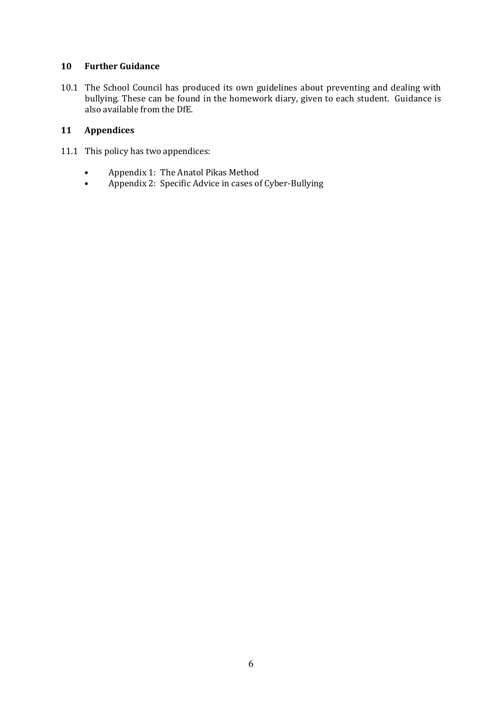## **10 Further Guidance**

10.1 The School Council has produced its own guidelines about preventing and dealing with bullying. These can be found in the homework diary, given to each student. Guidance is also available from the DfE.

# **11 Appendices**

- 11.1 This policy has two appendices:
	- Appendix 1: The Anatol Pikas Method<br>• Annendix 2: Specific Advice in cases of
	- Appendix 2: Specific Advice in cases of Cyber-Bullying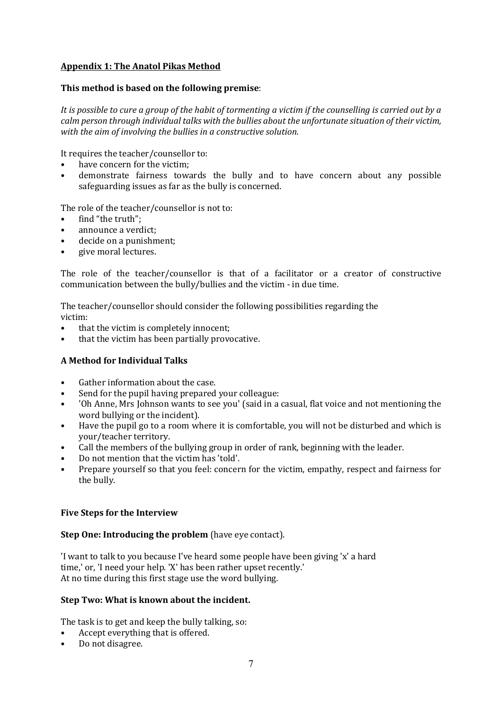# **Appendix 1: The Anatol Pikas Method**

## **This method is based on the following premise**:

*It is possible to cure a group of the habit of tormenting a victim if the counselling is carried out by a calm person through individual talks with the bullies about the unfortunate situation of their victim, with the aim of involving the bullies in a constructive solution.*

It requires the teacher/counsellor to:

- have concern for the victim;<br>• demonstrate fairness toward
- demonstrate fairness towards the bully and to have concern about any possible safeguarding issues as far as the bully is concerned.

The role of the teacher/counsellor is not to:

- find "the truth":
- announce a verdict:
- decide on a punishment;
- give moral lectures.

The role of the teacher/counsellor is that of a facilitator or a creator of constructive communication between the bully/bullies and the victim - in due time.

The teacher/counsellor should consider the following possibilities regarding the victim:

- that the victim is completely innocent;
- that the victim has been partially provocative.

## **A Method for Individual Talks**

- Gather information about the case.
- Send for the pupil having prepared your colleague:
- 'Oh Anne, Mrs Johnson wants to see you' (said in a casual, flat voice and not mentioning the word bullying or the incident).
- Have the pupil go to a room where it is comfortable, you will not be disturbed and which is your/teacher territory.
- Call the members of the bullying group in order of rank, beginning with the leader.
- Do not mention that the victim has 'told'.
- Prepare yourself so that you feel: concern for the victim, empathy, respect and fairness for the bully.

## **Five Steps for the Interview**

#### **Step One: Introducing the problem** (have eye contact).

'I want to talk to you because I've heard some people have been giving 'x' a hard time,' or, 'I need your help. 'X' has been rather upset recently.' At no time during this first stage use the word bullying.

#### **Step Two: What is known about the incident.**

The task is to get and keep the bully talking, so:

- Accept everything that is offered.
- Do not disagree.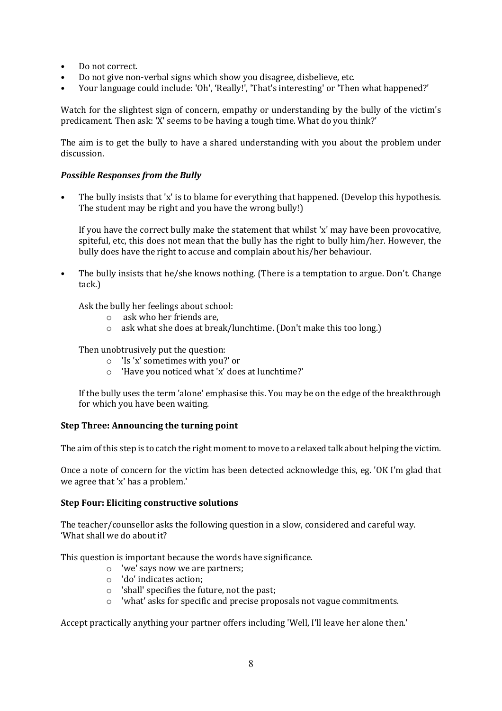- Do not correct.
- Do not give non-verbal signs which show you disagree, disbelieve, etc.
- Your language could include: 'Oh', 'Really!', 'That's interesting' or 'Then what happened?'

Watch for the slightest sign of concern, empathy or understanding by the bully of the victim's predicament. Then ask: 'X' seems to be having a tough time. What do you think?'

The aim is to get the bully to have a shared understanding with you about the problem under discussion.

## *Possible Responses from the Bully*

• The bully insists that 'x' is to blame for everything that happened. (Develop this hypothesis. The student may be right and you have the wrong bully!)

If you have the correct bully make the statement that whilst 'x' may have been provocative, spiteful, etc, this does not mean that the bully has the right to bully him/her. However, the bully does have the right to accuse and complain about his/her behaviour.

• The bully insists that he/she knows nothing. (There is a temptation to argue. Don't. Change tack.)

Ask the bully her feelings about school:

- o ask who her friends are,
- o ask what she does at break/lunchtime. (Don't make this too long.)

Then unobtrusively put the question:

- o 'Is 'x' sometimes with you?' or
- o 'Have you noticed what 'x' does at lunchtime?'

If the bully uses the term 'alone' emphasise this. You may be on the edge of the breakthrough for which you have been waiting.

## **Step Three: Announcing the turning point**

The aim of this step is to catch the right moment to move to a relaxed talk about helping the victim.

Once a note of concern for the victim has been detected acknowledge this, eg. 'OK I'm glad that we agree that 'x' has a problem.'

#### **Step Four: Eliciting constructive solutions**

The teacher/counsellor asks the following question in a slow, considered and careful way. 'What shall we do about it?

This question is important because the words have significance.

- o 'we' says now we are partners;
- o 'do' indicates action;
- o 'shall' specifies the future, not the past;
- o 'what' asks for specific and precise proposals not vague commitments.

Accept practically anything your partner offers including 'Well, I'll leave her alone then.'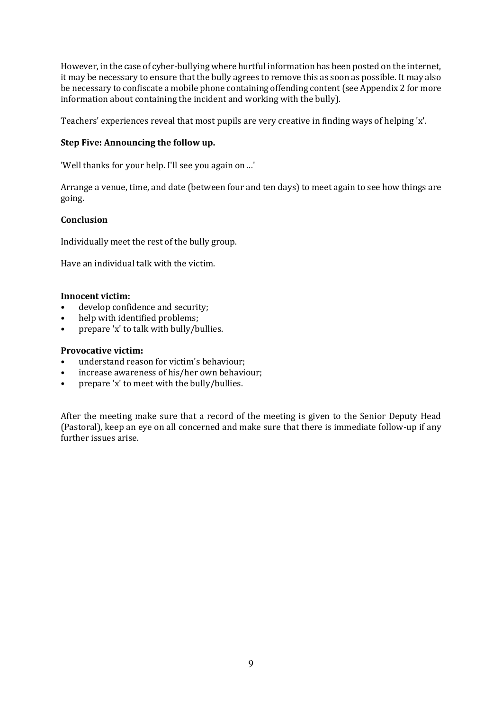However, in the case of cyber-bullying where hurtful information has been posted on the internet, it may be necessary to ensure that the bully agrees to remove this as soon as possible. It may also be necessary to confiscate a mobile phone containing offending content (see Appendix 2 for more information about containing the incident and working with the bully).

Teachers' experiences reveal that most pupils are very creative in finding ways of helping 'x'.

# **Step Five: Announcing the follow up.**

'Well thanks for your help. I'll see you again on ...'

Arrange a venue, time, and date (between four and ten days) to meet again to see how things are going.

## **Conclusion**

Individually meet the rest of the bully group.

Have an individual talk with the victim.

#### **Innocent victim:**

- develop confidence and security;
- help with identified problems;
- prepare 'x' to talk with bully/bullies.

## **Provocative victim:**

- understand reason for victim's behaviour;
- increase awareness of his/her own behaviour;
- prepare 'x' to meet with the bully/bullies.

After the meeting make sure that a record of the meeting is given to the Senior Deputy Head (Pastoral), keep an eye on all concerned and make sure that there is immediate follow-up if any further issues arise.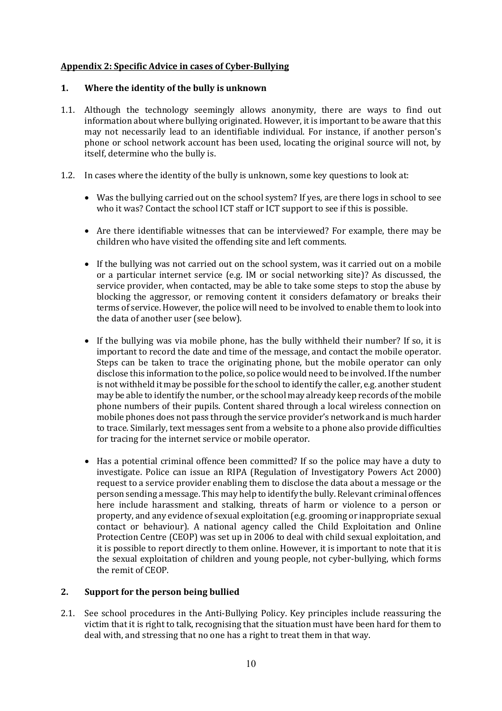## **Appendix 2: Specific Advice in cases of Cyber-Bullying**

#### **1. Where the identity of the bully is unknown**

- 1.1. Although the technology seemingly allows anonymity, there are ways to find out information about where bullying originated. However, it is important to be aware that this may not necessarily lead to an identifiable individual. For instance, if another person's phone or school network account has been used, locating the original source will not, by itself, determine who the bully is.
- 1.2. In cases where the identity of the bully is unknown, some key questions to look at:
	- Was the bullying carried out on the school system? If yes, are there logs in school to see who it was? Contact the school ICT staff or ICT support to see if this is possible.
	- Are there identifiable witnesses that can be interviewed? For example, there may be children who have visited the offending site and left comments.
	- If the bullying was not carried out on the school system, was it carried out on a mobile or a particular internet service (e.g. IM or social networking site)? As discussed, the service provider, when contacted, may be able to take some steps to stop the abuse by blocking the aggressor, or removing content it considers defamatory or breaks their terms of service. However, the police will need to be involved to enable them to look into the data of another user (see below).
	- If the bullying was via mobile phone, has the bully withheld their number? If so, it is important to record the date and time of the message, and contact the mobile operator. Steps can be taken to trace the originating phone, but the mobile operator can only disclose this information to the police, so police would need to be involved. If the number is not withheld it may be possible for the school to identify the caller, e.g. another student may be able to identify the number, or the school may already keep records of the mobile phone numbers of their pupils. Content shared through a local wireless connection on mobile phones does not pass through the service provider's network and is much harder to trace. Similarly, text messages sent from a website to a phone also provide difficulties for tracing for the internet service or mobile operator.
	- Has a potential criminal offence been committed? If so the police may have a duty to investigate. Police can issue an RIPA (Regulation of Investigatory Powers Act 2000) request to a service provider enabling them to disclose the data about a message or the person sending a message. This may help to identify the bully. Relevant criminal offences here include harassment and stalking, threats of harm or violence to a person or property, and any evidence of sexual exploitation (e.g. grooming or inappropriate sexual contact or behaviour). A national agency called the Child Exploitation and Online Protection Centre (CEOP) was set up in 2006 to deal with child sexual exploitation, and it is possible to report directly to them online. However, it is important to note that it is the sexual exploitation of children and young people, not cyber-bullying, which forms the remit of CEOP.

## **2. Support for the person being bullied**

2.1. See school procedures in the Anti-Bullying Policy. Key principles include reassuring the victim that it is right to talk, recognising that the situation must have been hard for them to deal with, and stressing that no one has a right to treat them in that way.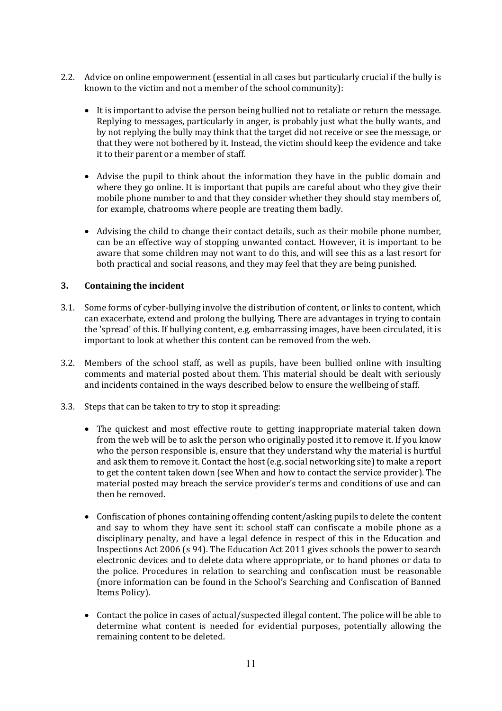- 2.2. Advice on online empowerment (essential in all cases but particularly crucial if the bully is known to the victim and not a member of the school community):
	- It is important to advise the person being bullied not to retaliate or return the message. Replying to messages, particularly in anger, is probably just what the bully wants, and by not replying the bully may think that the target did not receive or see the message, or that they were not bothered by it. Instead, the victim should keep the evidence and take it to their parent or a member of staff.
	- Advise the pupil to think about the information they have in the public domain and where they go online. It is important that pupils are careful about who they give their mobile phone number to and that they consider whether they should stay members of, for example, chatrooms where people are treating them badly.
	- Advising the child to change their contact details, such as their mobile phone number, can be an effective way of stopping unwanted contact. However, it is important to be aware that some children may not want to do this, and will see this as a last resort for both practical and social reasons, and they may feel that they are being punished.

## **3. Containing the incident**

- 3.1. Some forms of cyber-bullying involve the distribution of content, or links to content, which can exacerbate, extend and prolong the bullying. There are advantages in trying to contain the 'spread' of this. If bullying content, e.g. embarrassing images, have been circulated, it is important to look at whether this content can be removed from the web.
- 3.2. Members of the school staff, as well as pupils, have been bullied online with insulting comments and material posted about them. This material should be dealt with seriously and incidents contained in the ways described below to ensure the wellbeing of staff.
- 3.3. Steps that can be taken to try to stop it spreading:
	- The quickest and most effective route to getting inappropriate material taken down from the web will be to ask the person who originally posted it to remove it. If you know who the person responsible is, ensure that they understand why the material is hurtful and ask them to remove it. Contact the host (e.g. social networking site) to make a report to get the content taken down (see When and how to contact the service provider). The material posted may breach the service provider's terms and conditions of use and can then be removed.
	- Confiscation of phones containing offending content/asking pupils to delete the content and say to whom they have sent it: school staff can confiscate a mobile phone as a disciplinary penalty, and have a legal defence in respect of this in the Education and Inspections Act 2006 (s 94). The Education Act 2011 gives schools the power to search electronic devices and to delete data where appropriate, or to hand phones or data to the police. Procedures in relation to searching and confiscation must be reasonable (more information can be found in the School's Searching and Confiscation of Banned Items Policy).
	- Contact the police in cases of actual/suspected illegal content. The police will be able to determine what content is needed for evidential purposes, potentially allowing the remaining content to be deleted.